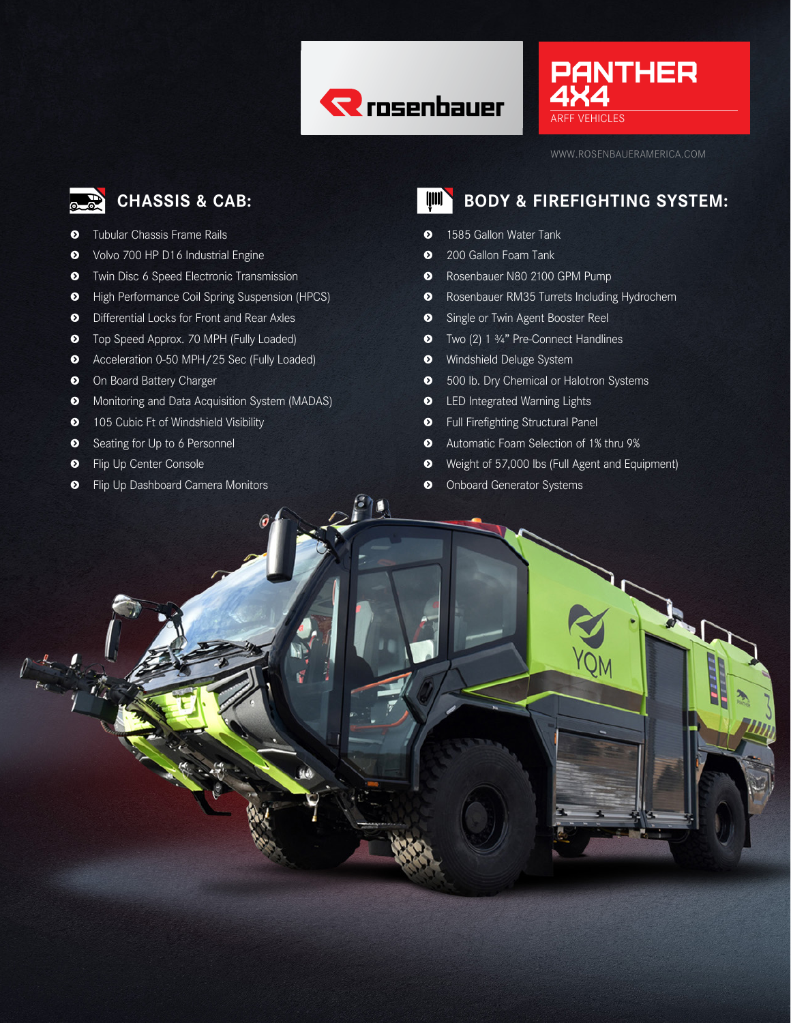





- $\bullet$  Tubular Chassis Frame Rails
- **s** Volvo 700 HP D16 Industrial Engine
- $\bullet$  Twin Disc 6 Speed Electronic Transmission
- **s** High Performance Coil Spring Suspension (HPCS)
- **s** Differential Locks for Front and Rear Axles
- $\bullet$  Top Speed Approx. 70 MPH (Fully Loaded)
- **s** Acceleration 0-50 MPH/25 Sec (Fully Loaded)
- $\bullet$  On Board Battery Charger
- $\bullet$  Monitoring and Data Acquisition System (MADAS)
- $\bullet$  105 Cubic Ft of Windshield Visibility
- $\bullet$  Seating for Up to 6 Personnel
- $\bullet$  Flip Up Center Console

 $\int_{-\frac{R}{R_{\text{max}}}}^{\infty} \frac{R}{R_{\text{max}}}\int_{-\infty}^{\infty}$ 

 $\bullet$  Flip Up Dashboard Camera Monitors

# **CHASSIS & CAB: BODY & FIREFIGHTING SYSTEM:**

- **s** 1585 Gallon Water Tank
- **s** 200 Gallon Foam Tank
- **s** Rosenbauer N80 2100 GPM Pump
- **s** Rosenbauer RM35 Turrets Including Hydrochem
- $\bullet$  Single or Twin Agent Booster Reel
- **s** Two (2) 1 ¾" Pre-Connect Handlines
- **s** Windshield Deluge System
- $\bullet$  500 lb. Dry Chemical or Halotron Systems
- $\bullet$  LED Integrated Warning Lights
- **s** Full Firefighting Structural Panel
- **s** Automatic Foam Selection of 1% thru 9%
- **s** Weight of 57,000 lbs (Full Agent and Equipment)
- $\bullet$  Onboard Generator Systems